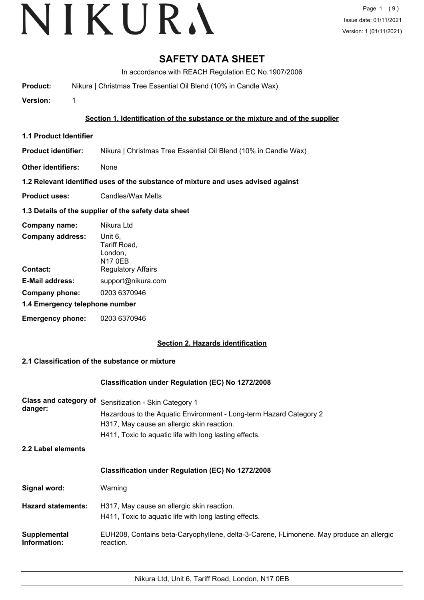## **SAFETY DATA SHEET**

In accordance with REACH Regulation EC No.1907/2006

**Product:** Nikura | Christmas Tree Essential Oil Blend (10% in Candle Wax)

**Version:** 1

## **Section 1. Identification of the substance or the mixture and of the supplier**

**1.1 Product Identifier**

**Product identifier:** Nikura | Christmas Tree Essential Oil Blend (10% in Candle Wax)

**Other identifiers:** None

## **1.2 Relevant identified uses of the substance of mixture and uses advised against**

**Product uses:** Candles/Wax Melts

## **1.3 Details of the supplier of the safety data sheet**

| Company name:                  | Nikura Ltd                                           |
|--------------------------------|------------------------------------------------------|
| <b>Company address:</b>        | Unit 6,<br>Tariff Road,<br>London,<br><b>N17 0EB</b> |
| Contact:                       | <b>Regulatory Affairs</b>                            |
| <b>E-Mail address:</b>         | support@nikura.com                                   |
| Company phone:                 | 0203 6370946                                         |
| 1.4 Emergency telephone number |                                                      |
| <b>Emergency phone:</b>        | 0203 6370946                                         |

## **Section 2. Hazards identification**

## **2.1 Classification of the substance or mixture**

## **Classification under Regulation (EC) No 1272/2008**

| Class and category of<br>danger: | Sensitization - Skin Category 1<br>Hazardous to the Aquatic Environment - Long-term Hazard Category 2<br>H317, May cause an allergic skin reaction.<br>H411, Toxic to aquatic life with long lasting effects. |
|----------------------------------|---------------------------------------------------------------------------------------------------------------------------------------------------------------------------------------------------------------|
| 2.2 Label elements               |                                                                                                                                                                                                               |
|                                  | <b>Classification under Regulation (EC) No 1272/2008</b>                                                                                                                                                      |
| Signal word:                     | Warning                                                                                                                                                                                                       |
| <b>Hazard statements:</b>        | H317, May cause an allergic skin reaction.<br>H411, Toxic to aguatic life with long lasting effects.                                                                                                          |
| Supplemental<br>Information:     | EUH208, Contains beta-Caryophyllene, delta-3-Carene, I-Limonene. May produce an allergic<br>reaction.                                                                                                         |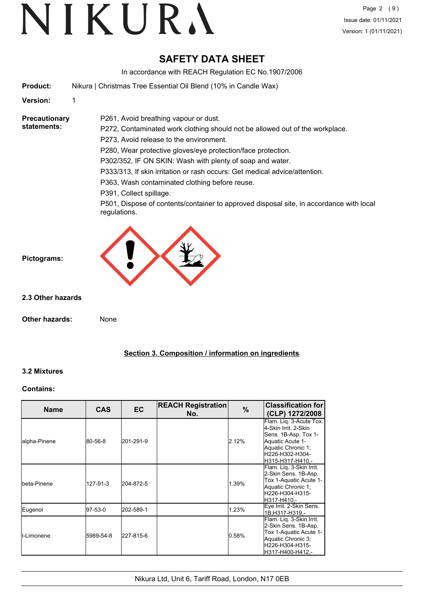# VIKURA

## **SAFETY DATA SHEET**

In accordance with REACH Regulation EC No.1907/2006

**Product:** Nikura | Christmas Tree Essential Oil Blend (10% in Candle Wax)

**Version:** 1

**Precautionary statements:**

P272, Contaminated work clothing should not be allowed out of the workplace.

P273, Avoid release to the environment.

P261, Avoid breathing vapour or dust.

P280, Wear protective gloves/eye protection/face protection.

P302/352, IF ON SKIN: Wash with plenty of soap and water.

P333/313, If skin irritation or rash occurs: Get medical advice/attention.

P363, Wash contaminated clothing before reuse.

P391, Collect spillage.

P501, Dispose of contents/container to approved disposal site, in accordance with local regulations.



**2.3 Other hazards**

**Pictograms:**

**Other hazards:** None

## **Section 3. Composition / information on ingredients**

## **3.2 Mixtures**

## **Contains:**

| <b>Name</b>         | <b>CAS</b> | EC        | <b>REACH Registration</b><br>No. | $\%$  | <b>Classification for</b><br>(CLP) 1272/2008                                                                                                             |
|---------------------|------------|-----------|----------------------------------|-------|----------------------------------------------------------------------------------------------------------------------------------------------------------|
| lalpha-Pinene       | 80-56-8    | 201-291-9 |                                  | 2.12% | Flam. Lig. 3-Acute Tox.<br>4-Skin Irrit, 2-Skin<br>Sens. 1B-Asp. Tox 1-<br>Aquatic Acute 1-<br>Aquatic Chronic 1;<br>H226-H302-H304-<br>H315-H317-H410.- |
| Ibeta-Pinene        | 127-91-3   | 204-872-5 |                                  | 1.39% | Flam. Lig. 3-Skin Irrit.<br>2-Skin Sens. 1B-Asp.<br>Tox 1-Aquatic Acute 1-<br>Aquatic Chronic 1;<br>H226-H304-H315-<br>lH317-H410.-                      |
| Eugenol             | 97-53-0    | 202-589-1 |                                  | 1.23% | Eye Irrit. 2-Skin Sens.<br>1B:H317-H319.-                                                                                                                |
| <b>I</b> I-Limonene | 5989-54-8  | 227-815-6 |                                  | 0.58% | Flam. Liq. 3-Skin Irrit.<br>2-Skin Sens. 1B-Asp.<br>Tox 1-Aquatic Acute 1-<br>Aquatic Chronic 3;<br>lH226-H304-H315-<br>H317-H400-H412.-                 |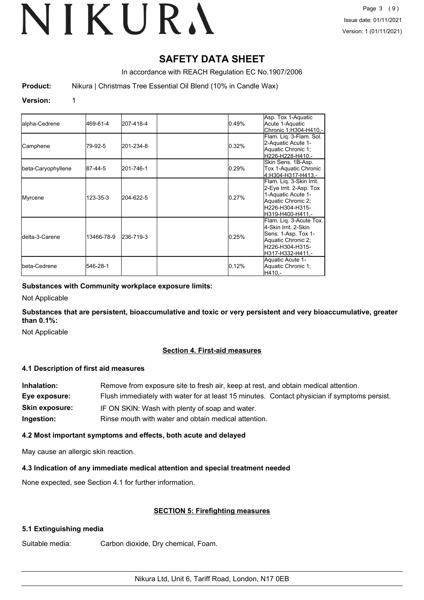## **SAFETY DATA SHEET**

In accordance with REACH Regulation EC No.1907/2006

**Product:** Nikura | Christmas Tree Essential Oil Blend (10% in Candle Wax)

#### **Version:** 1

| alpha-Cedrene           | 469-61-4       | 207-418-4 | 0.49% | Asp. Tox 1-Aquatic<br>Acute 1-Aquatic<br>Chronic 1;H304-H410,-                                                                         |
|-------------------------|----------------|-----------|-------|----------------------------------------------------------------------------------------------------------------------------------------|
| Camphene                | 79-92-5        | 201-234-8 | 0.32% | Flam. Lig. 3-Flam. Sol.<br>2-Aquatic Acute 1-<br>Aquatic Chronic 1;<br>H226-H228-H410.-                                                |
| beta-Caryophyllene      | 87-44-5        | 201-746-1 | 0.29% | Skin Sens. 1B-Asp.<br>Tox 1-Aquatic Chronic<br>4:H304-H317-H413.-                                                                      |
| Myrcene                 | $123 - 35 - 3$ | 204-622-5 | 0.27% | Flam. Liq. 3-Skin Irrit.<br>2-Eye Irrit. 2-Asp. Tox<br>1-Aquatic Acute 1-<br>Aquatic Chronic 2;<br>H226-H304-H315-<br>H319-H400-H411.- |
| <b>I</b> delta-3-Carene | 13466-78-9     | 236-719-3 | 0.25% | Flam. Lig. 3-Acute Tox.<br>4-Skin Irrit. 2-Skin<br>Sens. 1-Asp. Tox 1-<br>Aquatic Chronic 2;<br>H226-H304-H315-<br>H317-H332-H411.-    |
| <b>I</b> beta-Cedrene   | 546-28-1       |           | 0.12% | Aquatic Acute 1-<br>Aquatic Chronic 1;<br>IH410.-                                                                                      |

## **Substances with Community workplace exposure limits:**

Not Applicable

**Substances that are persistent, bioaccumulative and toxic or very persistent and very bioaccumulative, greater than 0.1%:**

Not Applicable

## **Section 4. First-aid measures**

## **4.1 Description of first aid measures**

| Inhalation:    | Remove from exposure site to fresh air, keep at rest, and obtain medical attention.          |
|----------------|----------------------------------------------------------------------------------------------|
| Eye exposure:  | Flush immediately with water for at least 15 minutes. Contact physician if symptoms persist. |
| Skin exposure: | IF ON SKIN: Wash with plenty of soap and water.                                              |
| Ingestion:     | Rinse mouth with water and obtain medical attention.                                         |

## **4.2 Most important symptoms and effects, both acute and delayed**

May cause an allergic skin reaction.

## **4.3 Indication of any immediate medical attention and special treatment needed**

None expected, see Section 4.1 for further information.

## **SECTION 5: Firefighting measures**

## **5.1 Extinguishing media**

Suitable media: Carbon dioxide, Dry chemical, Foam.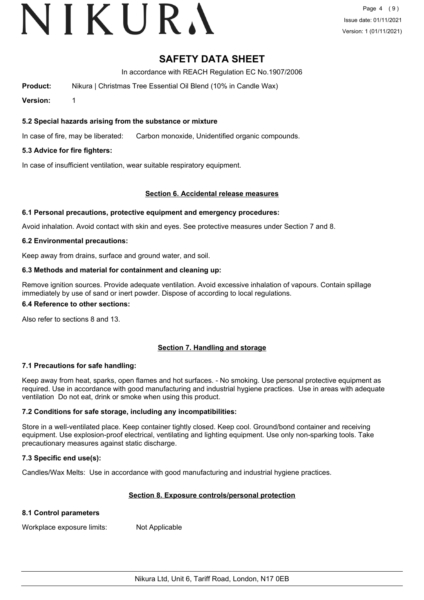## VIKURA

## **SAFETY DATA SHEET**

In accordance with REACH Regulation EC No.1907/2006

**Product:** Nikura | Christmas Tree Essential Oil Blend (10% in Candle Wax)

**Version:** 1

## **5.2 Special hazards arising from the substance or mixture**

In case of fire, may be liberated: Carbon monoxide, Unidentified organic compounds.

## **5.3 Advice for fire fighters:**

In case of insufficient ventilation, wear suitable respiratory equipment.

## **Section 6. Accidental release measures**

## **6.1 Personal precautions, protective equipment and emergency procedures:**

Avoid inhalation. Avoid contact with skin and eyes. See protective measures under Section 7 and 8.

## **6.2 Environmental precautions:**

Keep away from drains, surface and ground water, and soil.

## **6.3 Methods and material for containment and cleaning up:**

Remove ignition sources. Provide adequate ventilation. Avoid excessive inhalation of vapours. Contain spillage immediately by use of sand or inert powder. Dispose of according to local regulations.

#### **6.4 Reference to other sections:**

Also refer to sections 8 and 13.

## **Section 7. Handling and storage**

## **7.1 Precautions for safe handling:**

Keep away from heat, sparks, open flames and hot surfaces. - No smoking. Use personal protective equipment as required. Use in accordance with good manufacturing and industrial hygiene practices. Use in areas with adequate ventilation Do not eat, drink or smoke when using this product.

## **7.2 Conditions for safe storage, including any incompatibilities:**

Store in a well-ventilated place. Keep container tightly closed. Keep cool. Ground/bond container and receiving equipment. Use explosion-proof electrical, ventilating and lighting equipment. Use only non-sparking tools. Take precautionary measures against static discharge.

## **7.3 Specific end use(s):**

Candles/Wax Melts: Use in accordance with good manufacturing and industrial hygiene practices.

## **Section 8. Exposure controls/personal protection**

## **8.1 Control parameters**

Workplace exposure limits: Not Applicable

Nikura Ltd, Unit 6, Tariff Road, London, N17 0EB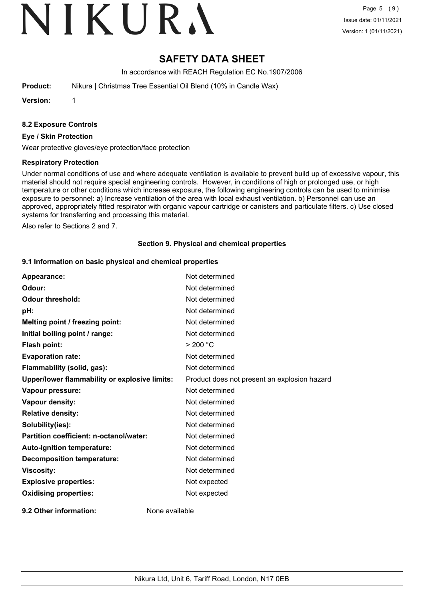## VIKURA

## **SAFETY DATA SHEET**

In accordance with REACH Regulation EC No.1907/2006

**Product:** Nikura | Christmas Tree Essential Oil Blend (10% in Candle Wax)

**Version:** 1

#### **8.2 Exposure Controls**

#### **Eye / Skin Protection**

Wear protective gloves/eye protection/face protection

#### **Respiratory Protection**

Under normal conditions of use and where adequate ventilation is available to prevent build up of excessive vapour, this material should not require special engineering controls. However, in conditions of high or prolonged use, or high temperature or other conditions which increase exposure, the following engineering controls can be used to minimise exposure to personnel: a) Increase ventilation of the area with local exhaust ventilation. b) Personnel can use an approved, appropriately fitted respirator with organic vapour cartridge or canisters and particulate filters. c) Use closed systems for transferring and processing this material.

Also refer to Sections 2 and 7.

#### **Section 9. Physical and chemical properties**

#### **9.1 Information on basic physical and chemical properties**

| Appearance:                                   | Not determined                               |
|-----------------------------------------------|----------------------------------------------|
| Odour:                                        | Not determined                               |
| <b>Odour threshold:</b>                       | Not determined                               |
| pH:                                           | Not determined                               |
| Melting point / freezing point:               | Not determined                               |
| Initial boiling point / range:                | Not determined                               |
| Flash point:                                  | > 200 °C                                     |
| <b>Evaporation rate:</b>                      | Not determined                               |
| Flammability (solid, gas):                    | Not determined                               |
| Upper/lower flammability or explosive limits: | Product does not present an explosion hazard |
| Vapour pressure:                              | Not determined                               |
| Vapour density:                               | Not determined                               |
| <b>Relative density:</b>                      | Not determined                               |
| Solubility(ies):                              | Not determined                               |
| Partition coefficient: n-octanol/water:       | Not determined                               |
| Auto-ignition temperature:                    | Not determined                               |
| <b>Decomposition temperature:</b>             | Not determined                               |
| <b>Viscosity:</b>                             | Not determined                               |
| <b>Explosive properties:</b>                  | Not expected                                 |
| <b>Oxidising properties:</b>                  | Not expected                                 |
| 9.2 Other information:                        | None available                               |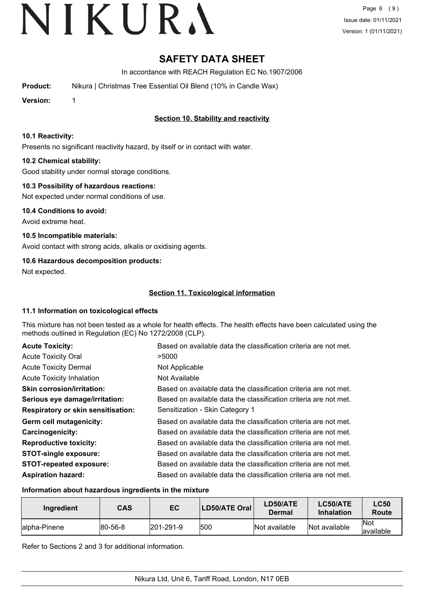## **SAFETY DATA SHEET**

In accordance with REACH Regulation EC No.1907/2006

**Product:** Nikura | Christmas Tree Essential Oil Blend (10% in Candle Wax)

**Version:** 1

## **Section 10. Stability and reactivity**

## **10.1 Reactivity:**

Presents no significant reactivity hazard, by itself or in contact with water.

## **10.2 Chemical stability:**

Good stability under normal storage conditions.

## **10.3 Possibility of hazardous reactions:**

Not expected under normal conditions of use.

**10.4 Conditions to avoid:** Avoid extreme heat.

**10.5 Incompatible materials:** Avoid contact with strong acids, alkalis or oxidising agents.

## **10.6 Hazardous decomposition products:**

Not expected.

## **Section 11. Toxicological information**

## **11.1 Information on toxicological effects**

This mixture has not been tested as a whole for health effects. The health effects have been calculated using the methods outlined in Regulation (EC) No 1272/2008 (CLP).

| <b>Acute Toxicity:</b>                    | Based on available data the classification criteria are not met. |
|-------------------------------------------|------------------------------------------------------------------|
| <b>Acute Toxicity Oral</b>                | >5000                                                            |
| <b>Acute Toxicity Dermal</b>              | Not Applicable                                                   |
| <b>Acute Toxicity Inhalation</b>          | Not Available                                                    |
| <b>Skin corrosion/irritation:</b>         | Based on available data the classification criteria are not met. |
| Serious eye damage/irritation:            | Based on available data the classification criteria are not met. |
| <b>Respiratory or skin sensitisation:</b> | Sensitization - Skin Category 1                                  |
| Germ cell mutagenicity:                   | Based on available data the classification criteria are not met. |
| <b>Carcinogenicity:</b>                   | Based on available data the classification criteria are not met. |
| <b>Reproductive toxicity:</b>             | Based on available data the classification criteria are not met. |
| <b>STOT-single exposure:</b>              | Based on available data the classification criteria are not met. |
| <b>STOT-repeated exposure:</b>            | Based on available data the classification criteria are not met. |
| <b>Aspiration hazard:</b>                 | Based on available data the classification criteria are not met. |

## **Information about hazardous ingredients in the mixture**

| Ingredient    | <b>CAS</b>      | EC                | LD50/ATE Oral | LD50/ATE<br>Dermal | <b>LC50/ATE</b><br><b>Inhalation</b> | <b>LC50</b><br>Route     |
|---------------|-----------------|-------------------|---------------|--------------------|--------------------------------------|--------------------------|
| lalpha-Pinene | $ 80 - 56 - 8 $ | $ 201 - 291 - 9 $ | 500           | Not available      | Not available                        | <b>Not</b><br>lavailable |

Refer to Sections 2 and 3 for additional information.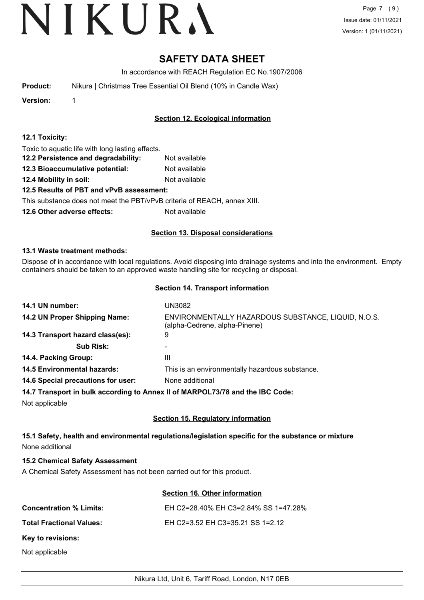## **SAFETY DATA SHEET**

In accordance with REACH Regulation EC No.1907/2006

| <b>Product:</b> | Nikura   Christmas Tree Essential Oil Blend (10% in Candle Wax) |
|-----------------|-----------------------------------------------------------------|
|-----------------|-----------------------------------------------------------------|

**Version:** 1

## **Section 12. Ecological information**

## **12.1 Toxicity:**

Toxic to aquatic life with long lasting effects.

- **12.2 Persistence and degradability:** Not available
- **12.3 Bioaccumulative potential:** Not available
- **12.4 Mobility in soil:** Not available

## **12.5 Results of PBT and vPvB assessment:**

This substance does not meet the PBT/vPvB criteria of REACH, annex XIII.

**12.6 Other adverse effects:** Not available

## **Section 13. Disposal considerations**

## **13.1 Waste treatment methods:**

Dispose of in accordance with local regulations. Avoid disposing into drainage systems and into the environment. Empty containers should be taken to an approved waste handling site for recycling or disposal.

## **Section 14. Transport information**

| 14.1 UN number:                                                               | UN3082                                                                               |
|-------------------------------------------------------------------------------|--------------------------------------------------------------------------------------|
| 14.2 UN Proper Shipping Name:                                                 | ENVIRONMENTALLY HAZARDOUS SUBSTANCE, LIQUID, N.O.S.<br>(alpha-Cedrene, alpha-Pinene) |
| 14.3 Transport hazard class(es):                                              | 9                                                                                    |
| <b>Sub Risk:</b>                                                              |                                                                                      |
| 14.4. Packing Group:                                                          | Ш                                                                                    |
| <b>14.5 Environmental hazards:</b>                                            | This is an environmentally hazardous substance.                                      |
| 14.6 Special precautions for user:                                            | None additional                                                                      |
| 14.7 Transport in bulk according to Annex II of MARPOL73/78 and the IBC Code: |                                                                                      |

Not applicable

## **Section 15. Regulatory information**

## **15.1 Safety, health and environmental regulations/legislation specific for the substance or mixture** None additional

## **15.2 Chemical Safety Assessment**

A Chemical Safety Assessment has not been carried out for this product.

## **Section 16. Other information**

| <b>Concentration % Limits:</b>  | EH C2=28.40% EH C3=2.84% SS 1=47.28% |
|---------------------------------|--------------------------------------|
| <b>Total Fractional Values:</b> | EH C2=3.52 EH C3=35.21 SS 1=2.12     |
| Key to revisions:               |                                      |
| Not applicable                  |                                      |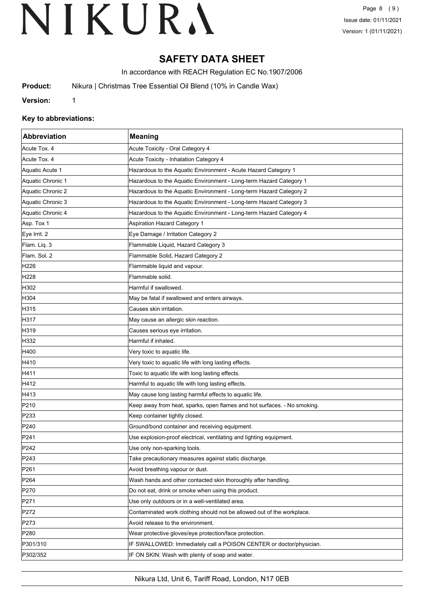## **SAFETY DATA SHEET**

In accordance with REACH Regulation EC No.1907/2006

**Product:** Nikura | Christmas Tree Essential Oil Blend (10% in Candle Wax)

**Version:** 1

## **Key to abbreviations:**

| Abbreviation      | <b>Meaning</b>                                                           |
|-------------------|--------------------------------------------------------------------------|
| Acute Tox. 4      | Acute Toxicity - Oral Category 4                                         |
| Acute Tox. 4      | Acute Toxicity - Inhalation Category 4                                   |
| Aquatic Acute 1   | Hazardous to the Aquatic Environment - Acute Hazard Category 1           |
| Aquatic Chronic 1 | Hazardous to the Aquatic Environment - Long-term Hazard Category 1       |
| Aquatic Chronic 2 | Hazardous to the Aquatic Environment - Long-term Hazard Category 2       |
| Aquatic Chronic 3 | Hazardous to the Aquatic Environment - Long-term Hazard Category 3       |
| Aquatic Chronic 4 | Hazardous to the Aquatic Environment - Long-term Hazard Category 4       |
| Asp. Tox 1        | <b>Aspiration Hazard Category 1</b>                                      |
| Eye Irrit. 2      | Eye Damage / Irritation Category 2                                       |
| Flam. Liq. 3      | Flammable Liquid, Hazard Category 3                                      |
| Flam. Sol. 2      | Flammable Solid, Hazard Category 2                                       |
| H226              | Flammable liquid and vapour.                                             |
| H <sub>228</sub>  | Flammable solid.                                                         |
| H302              | Harmful if swallowed.                                                    |
| H304              | May be fatal if swallowed and enters airways.                            |
| H315              | Causes skin irritation.                                                  |
| H317              | May cause an allergic skin reaction.                                     |
| H319              | Causes serious eye irritation.                                           |
| H332              | Harmful if inhaled.                                                      |
| H400              | Very toxic to aquatic life.                                              |
| H410              | Very toxic to aquatic life with long lasting effects.                    |
| H411              | Toxic to aquatic life with long lasting effects.                         |
| H412              | Harmful to aquatic life with long lasting effects.                       |
| H413              | May cause long lasting harmful effects to aquatic life.                  |
| P210              | Keep away from heat, sparks, open flames and hot surfaces. - No smoking. |
| P233              | Keep container tightly closed.                                           |
| P240              | Ground/bond container and receiving equipment.                           |
| P241              | Use explosion-proof electrical, ventilating and lighting equipment.      |
| P <sub>242</sub>  | Use only non-sparking tools.                                             |
| P243              | Take precautionary measures against static discharge.                    |
| P261              | Avoid breathing vapour or dust.                                          |
| P <sub>264</sub>  | Wash hands and other contacted skin thoroughly after handling.           |
| P270              | Do not eat, drink or smoke when using this product.                      |
| P271              | Use only outdoors or in a well-ventilated area.                          |
| P272              | Contaminated work clothing should not be allowed out of the workplace.   |
| P273              | Avoid release to the environment.                                        |
| P280              | Wear protective gloves/eye protection/face protection.                   |
| P301/310          | IF SWALLOWED: Immediately call a POISON CENTER or doctor/physician.      |
| P302/352          | IF ON SKIN: Wash with plenty of soap and water.                          |